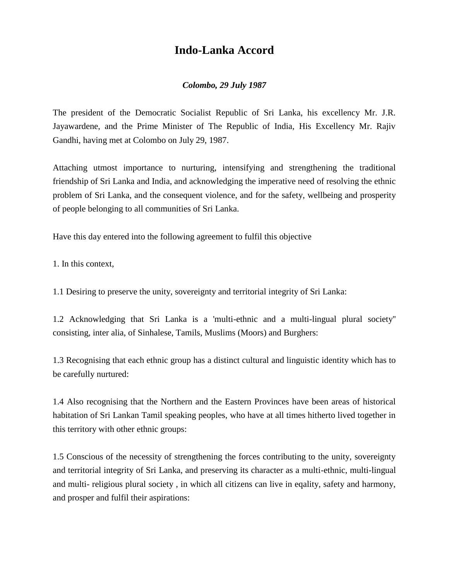# **Indo-Lanka Accord**

### *Colombo, 29 July 1987*

The president of the Democratic Socialist Republic of Sri Lanka, his excellency Mr. J.R. Jayawardene, and the Prime Minister of The Republic of India, His Excellency Mr. Rajiv Gandhi, having met at Colombo on July 29, 1987.

Attaching utmost importance to nurturing, intensifying and strengthening the traditional friendship of Sri Lanka and India, and acknowledging the imperative need of resolving the ethnic problem of Sri Lanka, and the consequent violence, and for the safety, wellbeing and prosperity of people belonging to all communities of Sri Lanka.

Have this day entered into the following agreement to fulfil this objective

1. In this context,

1.1 Desiring to preserve the unity, sovereignty and territorial integrity of Sri Lanka:

1.2 Acknowledging that Sri Lanka is a 'multi-ethnic and a multi-lingual plural society'' consisting, inter alia, of Sinhalese, Tamils, Muslims (Moors) and Burghers:

1.3 Recognising that each ethnic group has a distinct cultural and linguistic identity which has to be carefully nurtured:

1.4 Also recognising that the Northern and the Eastern Provinces have been areas of historical habitation of Sri Lankan Tamil speaking peoples, who have at all times hitherto lived together in this territory with other ethnic groups:

1.5 Conscious of the necessity of strengthening the forces contributing to the unity, sovereignty and territorial integrity of Sri Lanka, and preserving its character as a multi-ethnic, multi-lingual and multi- religious plural society , in which all citizens can live in eqality, safety and harmony, and prosper and fulfil their aspirations: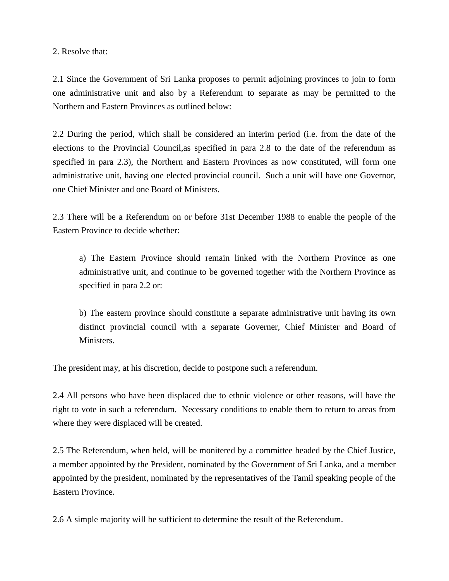#### 2. Resolve that:

2.1 Since the Government of Sri Lanka proposes to permit adjoining provinces to join to form one administrative unit and also by a Referendum to separate as may be permitted to the Northern and Eastern Provinces as outlined below:

2.2 During the period, which shall be considered an interim period (i.e. from the date of the elections to the Provincial Council,as specified in para 2.8 to the date of the referendum as specified in para 2.3), the Northern and Eastern Provinces as now constituted, will form one administrative unit, having one elected provincial council. Such a unit will have one Governor, one Chief Minister and one Board of Ministers.

2.3 There will be a Referendum on or before 31st December 1988 to enable the people of the Eastern Province to decide whether:

a) The Eastern Province should remain linked with the Northern Province as one administrative unit, and continue to be governed together with the Northern Province as specified in para 2.2 or:

b) The eastern province should constitute a separate administrative unit having its own distinct provincial council with a separate Governer, Chief Minister and Board of Ministers.

The president may, at his discretion, decide to postpone such a referendum.

2.4 All persons who have been displaced due to ethnic violence or other reasons, will have the right to vote in such a referendum. Necessary conditions to enable them to return to areas from where they were displaced will be created.

2.5 The Referendum, when held, will be monitered by a committee headed by the Chief Justice, a member appointed by the President, nominated by the Government of Sri Lanka, and a member appointed by the president, nominated by the representatives of the Tamil speaking people of the Eastern Province.

2.6 A simple majority will be sufficient to determine the result of the Referendum.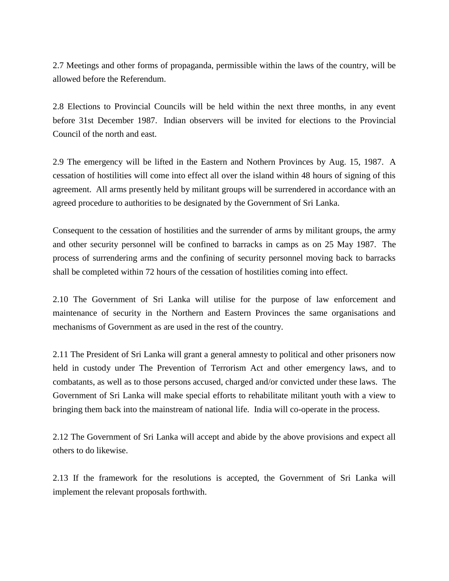2.7 Meetings and other forms of propaganda, permissible within the laws of the country, will be allowed before the Referendum.

2.8 Elections to Provincial Councils will be held within the next three months, in any event before 31st December 1987. Indian observers will be invited for elections to the Provincial Council of the north and east.

2.9 The emergency will be lifted in the Eastern and Nothern Provinces by Aug. 15, 1987. A cessation of hostilities will come into effect all over the island within 48 hours of signing of this agreement. All arms presently held by militant groups will be surrendered in accordance with an agreed procedure to authorities to be designated by the Government of Sri Lanka.

Consequent to the cessation of hostilities and the surrender of arms by militant groups, the army and other security personnel will be confined to barracks in camps as on 25 May 1987. The process of surrendering arms and the confining of security personnel moving back to barracks shall be completed within 72 hours of the cessation of hostilities coming into effect.

2.10 The Government of Sri Lanka will utilise for the purpose of law enforcement and maintenance of security in the Northern and Eastern Provinces the same organisations and mechanisms of Government as are used in the rest of the country.

2.11 The President of Sri Lanka will grant a general amnesty to political and other prisoners now held in custody under The Prevention of Terrorism Act and other emergency laws, and to combatants, as well as to those persons accused, charged and/or convicted under these laws. The Government of Sri Lanka will make special efforts to rehabilitate militant youth with a view to bringing them back into the mainstream of national life. India will co-operate in the process.

2.12 The Government of Sri Lanka will accept and abide by the above provisions and expect all others to do likewise.

2.13 If the framework for the resolutions is accepted, the Government of Sri Lanka will implement the relevant proposals forthwith.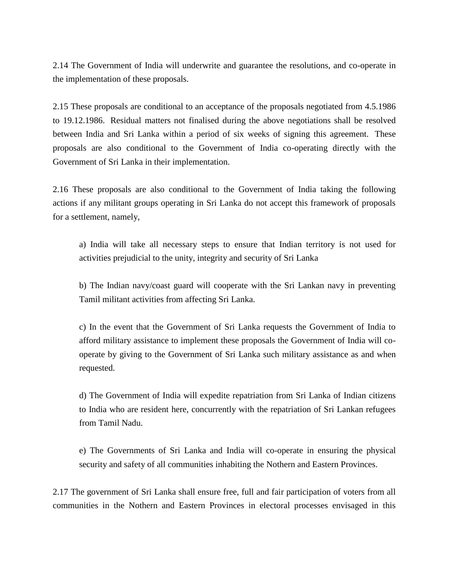2.14 The Government of India will underwrite and guarantee the resolutions, and co-operate in the implementation of these proposals.

2.15 These proposals are conditional to an acceptance of the proposals negotiated from 4.5.1986 to 19.12.1986. Residual matters not finalised during the above negotiations shall be resolved between India and Sri Lanka within a period of six weeks of signing this agreement. These proposals are also conditional to the Government of India co-operating directly with the Government of Sri Lanka in their implementation.

2.16 These proposals are also conditional to the Government of India taking the following actions if any militant groups operating in Sri Lanka do not accept this framework of proposals for a settlement, namely,

a) India will take all necessary steps to ensure that Indian territory is not used for activities prejudicial to the unity, integrity and security of Sri Lanka

b) The Indian navy/coast guard will cooperate with the Sri Lankan navy in preventing Tamil militant activities from affecting Sri Lanka.

c) In the event that the Government of Sri Lanka requests the Government of India to afford military assistance to implement these proposals the Government of India will cooperate by giving to the Government of Sri Lanka such military assistance as and when requested.

d) The Government of India will expedite repatriation from Sri Lanka of Indian citizens to India who are resident here, concurrently with the repatriation of Sri Lankan refugees from Tamil Nadu.

e) The Governments of Sri Lanka and India will co-operate in ensuring the physical security and safety of all communities inhabiting the Nothern and Eastern Provinces.

2.17 The government of Sri Lanka shall ensure free, full and fair participation of voters from all communities in the Nothern and Eastern Provinces in electoral processes envisaged in this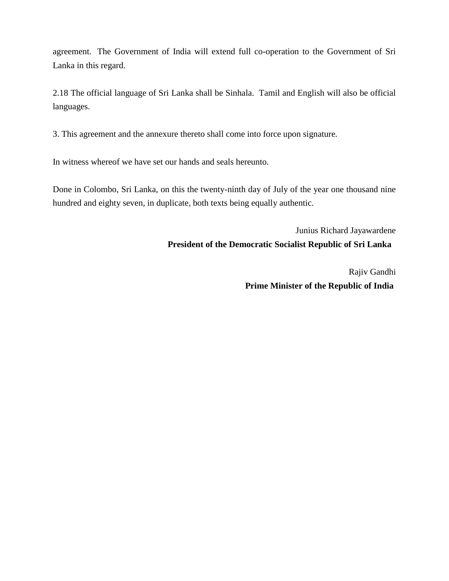agreement. The Government of India will extend full co-operation to the Government of Sri Lanka in this regard.

2.18 The official language of Sri Lanka shall be Sinhala. Tamil and English will also be official languages.

3. This agreement and the annexure thereto shall come into force upon signature.

In witness whereof we have set our hands and seals hereunto.

Done in Colombo, Sri Lanka, on this the twenty-ninth day of July of the year one thousand nine hundred and eighty seven, in duplicate, both texts being equally authentic.

> Junius Richard Jayawardene **President of the Democratic Socialist Republic of Sri Lanka**

> > Rajiv Gandhi **Prime Minister of the Republic of India**